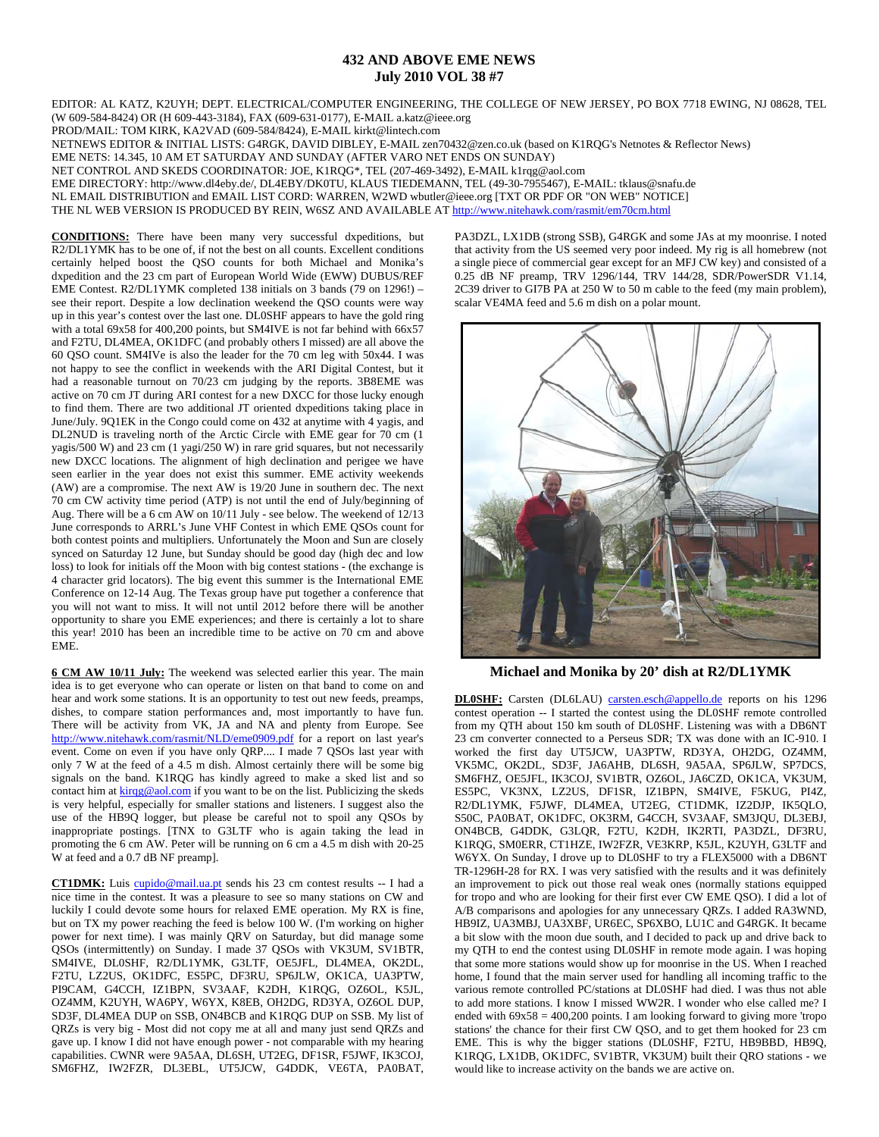## **432 AND ABOVE EME NEWS July 2010 VOL 38 #7**

EDITOR: AL KATZ, K2UYH; DEPT. ELECTRICAL/COMPUTER ENGINEERING, THE COLLEGE OF NEW JERSEY, PO BOX 7718 EWING, NJ 08628, TEL (W 609-584-8424) OR (H 609-443-3184), FAX (609-631-0177), E-MAIL a.katz@ieee.org

PROD/MAIL: TOM KIRK, KA2VAD (609-584/8424), E-MAIL kirkt@lintech.com

NETNEWS EDITOR & INITIAL LISTS: G4RGK, DAVID DIBLEY, E-MAIL zen70432@zen.co.uk (based on K1RQG's Netnotes & Reflector News)

EME NETS: 14.345, 10 AM ET SATURDAY AND SUNDAY (AFTER VARO NET ENDS ON SUNDAY)

NET CONTROL AND SKEDS COORDINATOR: JOE, K1RQG\*, TEL (207-469-3492), E-MAIL k1rqg@aol.com

EME DIRECTORY: http://www.dl4eby.de/, DL4EBY/DK0TU, KLAUS TIEDEMANN, TEL (49-30-7955467), E-MAIL: tklaus@snafu.de

NL EMAIL DISTRIBUTION and EMAIL LIST CORD: WARREN, W2WD wbutler@ieee.org [TXT OR PDF OR "ON WEB" NOTICE]

THE NL WEB VERSION IS PRODUCED BY REIN, W6SZ AND AVAILABLE AT http://www.nitehawk.com/rasmit/em70cm.html

**CONDITIONS:** There have been many very successful dxpeditions, but R2/DL1YMK has to be one of, if not the best on all counts. Excellent conditions certainly helped boost the QSO counts for both Michael and Monika's dxpedition and the 23 cm part of European World Wide (EWW) DUBUS/REF EME Contest. R2/DL1YMK completed 138 initials on 3 bands (79 on 1296!) – see their report. Despite a low declination weekend the QSO counts were way up in this year's contest over the last one. DL0SHF appears to have the gold ring with a total 69x58 for 400,200 points, but SM4IVE is not far behind with 66x57 and F2TU, DL4MEA, OK1DFC (and probably others I missed) are all above the 60 QSO count. SM4IVe is also the leader for the 70 cm leg with 50x44. I was not happy to see the conflict in weekends with the ARI Digital Contest, but it had a reasonable turnout on 70/23 cm judging by the reports. 3B8EME was active on 70 cm JT during ARI contest for a new DXCC for those lucky enough to find them. There are two additional JT oriented dxpeditions taking place in June/July. 9Q1EK in the Congo could come on 432 at anytime with 4 yagis, and DL2NUD is traveling north of the Arctic Circle with EME gear for 70 cm (1 yagis/500 W) and 23 cm (1 yagi/250 W) in rare grid squares, but not necessarily new DXCC locations. The alignment of high declination and perigee we have seen earlier in the year does not exist this summer. EME activity weekends (AW) are a compromise. The next AW is 19/20 June in southern dec. The next 70 cm CW activity time period (ATP) is not until the end of July/beginning of Aug. There will be a 6 cm AW on 10/11 July - see below. The weekend of 12/13 June corresponds to ARRL's June VHF Contest in which EME QSOs count for both contest points and multipliers. Unfortunately the Moon and Sun are closely synced on Saturday 12 June, but Sunday should be good day (high dec and low loss) to look for initials off the Moon with big contest stations - (the exchange is 4 character grid locators). The big event this summer is the International EME Conference on 12-14 Aug. The Texas group have put together a conference that you will not want to miss. It will not until 2012 before there will be another opportunity to share you EME experiences; and there is certainly a lot to share this year! 2010 has been an incredible time to be active on 70 cm and above EME.

**6 CM AW 10/11 July:** The weekend was selected earlier this year. The main idea is to get everyone who can operate or listen on that band to come on and hear and work some stations. It is an opportunity to test out new feeds, preamps, dishes, to compare station performances and, most importantly to have fun. There will be activity from VK, JA and NA and plenty from Europe. See http://www.nitehawk.com/rasmit/NLD/eme0909.pdf for a report on last year's event. Come on even if you have only QRP.... I made 7 QSOs last year with only 7 W at the feed of a 4.5 m dish. Almost certainly there will be some big signals on the band. K1RQG has kindly agreed to make a sked list and so contact him at  $\frac{\text{kirqg@aol.com}}{\text{kirqg@aol.com}}$  if you want to be on the list. Publicizing the skeds is very helpful, especially for smaller stations and listeners. I suggest also the use of the HB9Q logger, but please be careful not to spoil any QSOs by inappropriate postings. [TNX to G3LTF who is again taking the lead in promoting the 6 cm AW. Peter will be running on 6 cm a 4.5 m dish with 20-25 W at feed and a 0.7 dB NF preamp].

**CT1DMK:** Luis cupido@mail.ua.pt sends his 23 cm contest results -- I had a nice time in the contest. It was a pleasure to see so many stations on CW and luckily I could devote some hours for relaxed EME operation. My RX is fine, but on TX my power reaching the feed is below 100 W. (I'm working on higher power for next time). I was mainly QRV on Saturday, but did manage some QSOs (intermittently) on Sunday. I made 37 QSOs with VK3UM, SV1BTR, SM4IVE, DL0SHF, R2/DL1YMK, G3LTF, OE5JFL, DL4MEA, OK2DL, F2TU, LZ2US, OK1DFC, ES5PC, DF3RU, SP6JLW, OK1CA, UA3PTW, PI9CAM, G4CCH, IZ1BPN, SV3AAF, K2DH, K1RQG, OZ6OL, K5JL, OZ4MM, K2UYH, WA6PY, W6YX, K8EB, OH2DG, RD3YA, OZ6OL DUP, SD3F, DL4MEA DUP on SSB, ON4BCB and K1RQG DUP on SSB. My list of QRZs is very big - Most did not copy me at all and many just send QRZs and gave up. I know I did not have enough power - not comparable with my hearing capabilities. CWNR were 9A5AA, DL6SH, UT2EG, DF1SR, F5JWF, IK3COJ, SM6FHZ, IW2FZR, DL3EBL, UT5JCW, G4DDK, VE6TA, PA0BAT,

PA3DZL, LX1DB (strong SSB), G4RGK and some JAs at my moonrise. I noted that activity from the US seemed very poor indeed. My rig is all homebrew (not a single piece of commercial gear except for an MFJ CW key) and consisted of a 0.25 dB NF preamp, TRV 1296/144, TRV 144/28, SDR/PowerSDR V1.14, 2C39 driver to GI7B PA at 250 W to 50 m cable to the feed (my main problem), scalar VE4MA feed and 5.6 m dish on a polar mount.



**Michael and Monika by 20' dish at R2/DL1YMK** 

**DL0SHF:** Carsten (DL6LAU) carsten.esch@appello.de reports on his 1296 contest operation -- I started the contest using the DL0SHF remote controlled from my QTH about 150 km south of DL0SHF. Listening was with a DB6NT 23 cm converter connected to a Perseus SDR; TX was done with an IC-910. I worked the first day UT5JCW, UA3PTW, RD3YA, OH2DG, OZ4MM, VK5MC, OK2DL, SD3F, JA6AHB, DL6SH, 9A5AA, SP6JLW, SP7DCS, SM6FHZ, OE5JFL, IK3COJ, SV1BTR, OZ6OL, JA6CZD, OK1CA, VK3UM, ES5PC, VK3NX, LZ2US, DF1SR, IZ1BPN, SM4IVE, F5KUG, PI4Z, R2/DL1YMK, F5JWF, DL4MEA, UT2EG, CT1DMK, IZ2DJP, IK5QLO, S50C, PA0BAT, OK1DFC, OK3RM, G4CCH, SV3AAF, SM3JQU, DL3EBJ, ON4BCB, G4DDK, G3LQR, F2TU, K2DH, IK2RTI, PA3DZL, DF3RU, K1RQG, SM0ERR, CT1HZE, IW2FZR, VE3KRP, K5JL, K2UYH, G3LTF and W6YX. On Sunday, I drove up to DL0SHF to try a FLEX5000 with a DB6NT TR-1296H-28 for RX. I was very satisfied with the results and it was definitely an improvement to pick out those real weak ones (normally stations equipped for tropo and who are looking for their first ever CW EME QSO). I did a lot of A/B comparisons and apologies for any unnecessary QRZs. I added RA3WND, HB9IZ, UA3MBJ, UA3XBF, UR6EC, SP6XBO, LU1C and G4RGK. It became a bit slow with the moon due south, and I decided to pack up and drive back to my QTH to end the contest using DL0SHF in remote mode again. I was hoping that some more stations would show up for moonrise in the US. When I reached home, I found that the main server used for handling all incoming traffic to the various remote controlled PC/stations at DL0SHF had died. I was thus not able to add more stations. I know I missed WW2R. I wonder who else called me? I ended with  $69x58 = 400,200$  points. I am looking forward to giving more 'tropo' stations' the chance for their first CW QSO, and to get them hooked for 23 cm EME. This is why the bigger stations (DL0SHF, F2TU, HB9BBD, HB9Q, K1RQG, LX1DB, OK1DFC, SV1BTR, VK3UM) built their QRO stations - we would like to increase activity on the bands we are active on.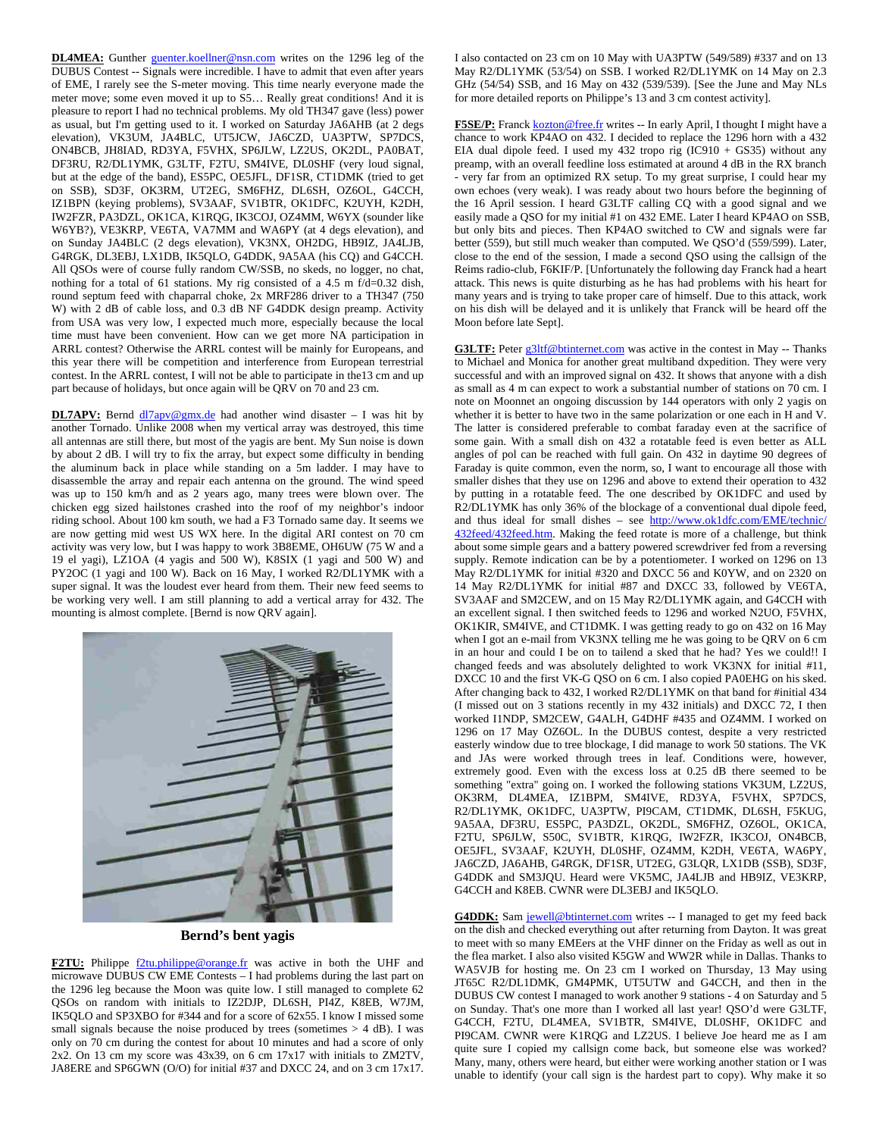DL4MEA: Gunther guenter.koellner@nsn.com writes on the 1296 leg of the DUBUS Contest -- Signals were incredible. I have to admit that even after years of EME, I rarely see the S-meter moving. This time nearly everyone made the meter move; some even moved it up to S5… Really great conditions! And it is pleasure to report I had no technical problems. My old TH347 gave (less) power as usual, but I'm getting used to it. I worked on Saturday JA6AHB (at 2 degs elevation), VK3UM, JA4BLC, UT5JCW, JA6CZD, UA3PTW, SP7DCS, ON4BCB, JH8IAD, RD3YA, F5VHX, SP6JLW, LZ2US, OK2DL, PA0BAT, DF3RU, R2/DL1YMK, G3LTF, F2TU, SM4IVE, DL0SHF (very loud signal, but at the edge of the band), ES5PC, OE5JFL, DF1SR, CT1DMK (tried to get on SSB), SD3F, OK3RM, UT2EG, SM6FHZ, DL6SH, OZ6OL, G4CCH, IZ1BPN (keying problems), SV3AAF, SV1BTR, OK1DFC, K2UYH, K2DH, IW2FZR, PA3DZL, OK1CA, K1RQG, IK3COJ, OZ4MM, W6YX (sounder like W6YB?), VE3KRP, VE6TA, VA7MM and WA6PY (at 4 degs elevation), and on Sunday JA4BLC (2 degs elevation), VK3NX, OH2DG, HB9IZ, JA4LJB, G4RGK, DL3EBJ, LX1DB, IK5QLO, G4DDK, 9A5AA (his CQ) and G4CCH. All QSOs were of course fully random CW/SSB, no skeds, no logger, no chat, nothing for a total of 61 stations. My rig consisted of a 4.5 m f/d=0.32 dish, round septum feed with chaparral choke, 2x MRF286 driver to a TH347 (750 W) with 2 dB of cable loss, and 0.3 dB NF G4DDK design preamp. Activity from USA was very low, I expected much more, especially because the local time must have been convenient. How can we get more NA participation in ARRL contest? Otherwise the ARRL contest will be mainly for Europeans, and this year there will be competition and interference from European terrestrial contest. In the ARRL contest, I will not be able to participate in the13 cm and up part because of holidays, but once again will be QRV on 70 and 23 cm.

**DL7APV:** Bernd  $\frac{d17apv@gmx.de}{dt}$  had another wind disaster - I was hit by another Tornado. Unlike 2008 when my vertical array was destroyed, this time all antennas are still there, but most of the yagis are bent. My Sun noise is down by about 2 dB. I will try to fix the array, but expect some difficulty in bending the aluminum back in place while standing on a 5m ladder. I may have to disassemble the array and repair each antenna on the ground. The wind speed was up to 150 km/h and as 2 years ago, many trees were blown over. The chicken egg sized hailstones crashed into the roof of my neighbor's indoor riding school. About 100 km south, we had a F3 Tornado same day. It seems we are now getting mid west US WX here. In the digital ARI contest on 70 cm activity was very low, but I was happy to work 3B8EME, OH6UW (75 W and a 19 el yagi), LZ1OA (4 yagis and 500 W), K8SIX (1 yagi and 500 W) and PY2OC (1 yagi and 100 W). Back on 16 May, I worked R2/DL1YMK with a super signal. It was the loudest ever heard from them. Their new feed seems to be working very well. I am still planning to add a vertical array for 432. The mounting is almost complete. [Bernd is now QRV again].



**Bernd's bent yagis** 

**F2TU:** Philippe  $\frac{f2tu}{b}$  philippe@orange.fr was active in both the UHF and microwave DUBUS CW EME Contests – I had problems during the last part on the 1296 leg because the Moon was quite low. I still managed to complete 62 QSOs on random with initials to IZ2DJP, DL6SH, PI4Z, K8EB, W7JM, IK5QLO and SP3XBO for #344 and for a score of 62x55. I know I missed some small signals because the noise produced by trees (sometimes > 4 dB). I was only on 70 cm during the contest for about 10 minutes and had a score of only 2x2. On 13 cm my score was 43x39, on 6 cm 17x17 with initials to ZM2TV, JA8ERE and SP6GWN (O/O) for initial #37 and DXCC 24, and on 3 cm 17x17. I also contacted on 23 cm on 10 May with UA3PTW (549/589) #337 and on 13 May R2/DL1YMK (53/54) on SSB. I worked R2/DL1YMK on 14 May on 2.3 GHz (54/54) SSB, and 16 May on 432 (539/539). [See the June and May NLs for more detailed reports on Philippe's 13 and 3 cm contest activity].

F5SE/P: Franck kozton@free.fr writes -- In early April, I thought I might have a chance to work KP4AO on 432. I decided to replace the 1296 horn with a 432 EIA dual dipole feed. I used my 432 tropo rig (IC910 + GS35) without any preamp, with an overall feedline loss estimated at around 4 dB in the RX branch - very far from an optimized RX setup. To my great surprise, I could hear my own echoes (very weak). I was ready about two hours before the beginning of the 16 April session. I heard G3LTF calling CQ with a good signal and we easily made a QSO for my initial #1 on 432 EME. Later I heard KP4AO on SSB, but only bits and pieces. Then KP4AO switched to CW and signals were far better (559), but still much weaker than computed. We QSO'd (559/599). Later, close to the end of the session, I made a second QSO using the callsign of the Reims radio-club, F6KIF/P. [Unfortunately the following day Franck had a heart attack. This news is quite disturbing as he has had problems with his heart for many years and is trying to take proper care of himself. Due to this attack, work on his dish will be delayed and it is unlikely that Franck will be heard off the Moon before late Sept].

**G3LTF:** Peter g3ltf@btinternet.com was active in the contest in May -- Thanks to Michael and Monica for another great multiband dxpedition. They were very successful and with an improved signal on 432. It shows that anyone with a dish as small as 4 m can expect to work a substantial number of stations on 70 cm. I note on Moonnet an ongoing discussion by 144 operators with only 2 yagis on whether it is better to have two in the same polarization or one each in H and V. The latter is considered preferable to combat faraday even at the sacrifice of some gain. With a small dish on 432 a rotatable feed is even better as ALL angles of pol can be reached with full gain. On 432 in daytime 90 degrees of Faraday is quite common, even the norm, so, I want to encourage all those with smaller dishes that they use on 1296 and above to extend their operation to 432 by putting in a rotatable feed. The one described by OK1DFC and used by R2/DL1YMK has only 36% of the blockage of a conventional dual dipole feed, and thus ideal for small dishes – see http://www.ok1dfc.com/EME/technic/ 432feed/432feed.htm. Making the feed rotate is more of a challenge, but think about some simple gears and a battery powered screwdriver fed from a reversing supply. Remote indication can be by a potentiometer. I worked on 1296 on 13 May R2/DL1YMK for initial #320 and DXCC 56 and K0YW, and on 2320 on 14 May R2/DL1YMK for initial #87 and DXCC 33, followed by VE6TA, SV3AAF and SM2CEW, and on 15 May R2/DL1YMK again, and G4CCH with an excellent signal. I then switched feeds to 1296 and worked N2UO, F5VHX, OK1KIR, SM4IVE, and CT1DMK. I was getting ready to go on 432 on 16 May when I got an e-mail from VK3NX telling me he was going to be QRV on 6 cm in an hour and could I be on to tailend a sked that he had? Yes we could!! I changed feeds and was absolutely delighted to work VK3NX for initial #11, DXCC 10 and the first VK-G QSO on 6 cm. I also copied PA0EHG on his sked. After changing back to 432, I worked R2/DL1YMK on that band for #initial 434 (I missed out on 3 stations recently in my 432 initials) and DXCC 72, I then worked I1NDP, SM2CEW, G4ALH, G4DHF #435 and OZ4MM. I worked on 1296 on 17 May OZ6OL. In the DUBUS contest, despite a very restricted easterly window due to tree blockage, I did manage to work 50 stations. The VK and JAs were worked through trees in leaf. Conditions were, however, extremely good. Even with the excess loss at 0.25 dB there seemed to be something "extra" going on. I worked the following stations VK3UM, LZ2US, OK3RM, DL4MEA, IZ1BPM, SM4IVE, RD3YA, F5VHX, SP7DCS, R2/DL1YMK, OK1DFC, UA3PTW, PI9CAM, CT1DMK, DL6SH, F5KUG, 9A5AA, DF3RU, ES5PC, PA3DZL, OK2DL, SM6FHZ, OZ6OL, OK1CA, F2TU, SP6JLW, S50C, SV1BTR, K1RQG, IW2FZR, IK3COJ, ON4BCB, OE5JFL, SV3AAF, K2UYH, DL0SHF, OZ4MM, K2DH, VE6TA, WA6PY, JA6CZD, JA6AHB, G4RGK, DF1SR, UT2EG, G3LQR, LX1DB (SSB), SD3F, G4DDK and SM3JQU. Heard were VK5MC, JA4LJB and HB9IZ, VE3KRP, G4CCH and K8EB. CWNR were DL3EBJ and IK5QLO.

G4DDK: Sam jewell@btinternet.com writes -- I managed to get my feed back on the dish and checked everything out after returning from Dayton. It was great to meet with so many EMEers at the VHF dinner on the Friday as well as out in the flea market. I also also visited K5GW and WW2R while in Dallas. Thanks to WA5VJB for hosting me. On 23 cm I worked on Thursday, 13 May using JT65C R2/DL1DMK, GM4PMK, UT5UTW and G4CCH, and then in the DUBUS CW contest I managed to work another 9 stations - 4 on Saturday and 5 on Sunday. That's one more than I worked all last year! QSO'd were G3LTF, G4CCH, F2TU, DL4MEA, SV1BTR, SM4IVE, DL0SHF, OK1DFC and PI9CAM. CWNR were K1RQG and LZ2US. I believe Joe heard me as I am quite sure I copied my callsign come back, but someone else was worked? Many, many, others were heard, but either were working another station or I was unable to identify (your call sign is the hardest part to copy). Why make it so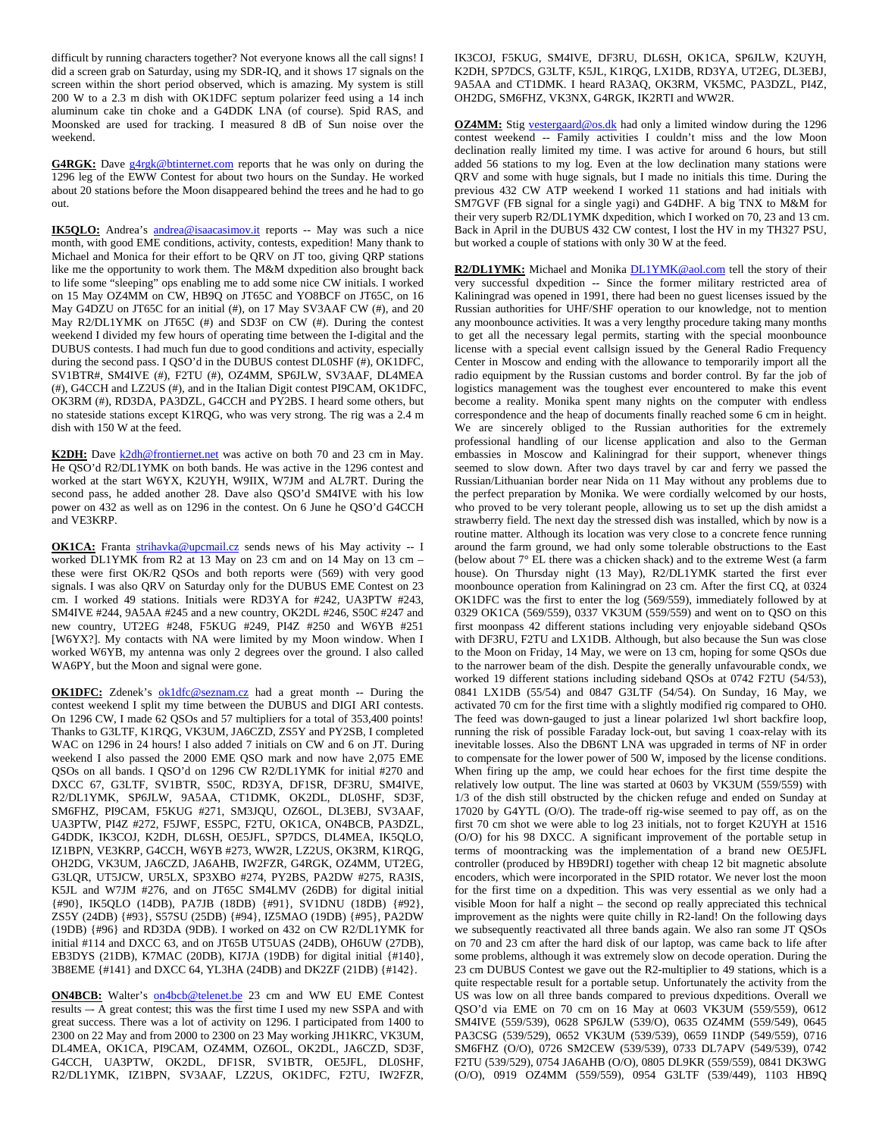difficult by running characters together? Not everyone knows all the call signs! I did a screen grab on Saturday, using my SDR-IQ, and it shows 17 signals on the screen within the short period observed, which is amazing. My system is still 200 W to a 2.3 m dish with OK1DFC septum polarizer feed using a 14 inch aluminum cake tin choke and a G4DDK LNA (of course). Spid RAS, and Moonsked are used for tracking. I measured 8 dB of Sun noise over the weekend.

G4RGK: Dave g4rgk@btinternet.com reports that he was only on during the 1296 leg of the EWW Contest for about two hours on the Sunday. He worked about 20 stations before the Moon disappeared behind the trees and he had to go out.

**IK5QLO:** Andrea's **andrea@isaacasimov.it** reports -- May was such a nice month, with good EME conditions, activity, contests, expedition! Many thank to Michael and Monica for their effort to be QRV on JT too, giving QRP stations like me the opportunity to work them. The M&M dxpedition also brought back to life some "sleeping" ops enabling me to add some nice CW initials. I worked on 15 May OZ4MM on CW, HB9Q on JT65C and YO8BCF on JT65C, on 16 May G4DZU on JT65C for an initial (#), on 17 May SV3AAF CW (#), and 20 May R2/DL1YMK on JT65C (#) and SD3F on CW (#). During the contest weekend I divided my few hours of operating time between the I-digital and the DUBUS contests. I had much fun due to good conditions and activity, especially during the second pass. I QSO'd in the DUBUS contest DL0SHF (#), OK1DFC, SV1BTR#, SM4IVE (#), F2TU (#), OZ4MM, SP6JLW, SV3AAF, DL4MEA (#), G4CCH and LZ2US (#), and in the Italian Digit contest PI9CAM, OK1DFC, OK3RM (#), RD3DA, PA3DZL, G4CCH and PY2BS. I heard some others, but no stateside stations except K1RQG, who was very strong. The rig was a 2.4 m dish with 150 W at the feed.

**K2DH:** Dave k2dh@frontiernet.net was active on both 70 and 23 cm in May. He QSO'd R2/DL1YMK on both bands. He was active in the 1296 contest and worked at the start W6YX, K2UYH, W9IIX, W7JM and AL7RT. During the second pass, he added another 28. Dave also QSO'd SM4IVE with his low power on 432 as well as on 1296 in the contest. On 6 June he QSO'd G4CCH and VE3KRP.

**OK1CA:** Franta strihavka@upcmail.cz sends news of his May activity -- I worked DL1YMK from R2 at 13 May on 23 cm and on 14 May on 13 cm – these were first OK/R2 QSOs and both reports were (569) with very good signals. I was also QRV on Saturday only for the DUBUS EME Contest on 23 cm. I worked 49 stations. Initials were RD3YA for #242, UA3PTW #243, SM4IVE #244, 9A5AA #245 and a new country, OK2DL #246, S50C #247 and new country, UT2EG #248, F5KUG #249, PI4Z #250 and W6YB #251 [W6YX?]. My contacts with NA were limited by my Moon window. When I worked W6YB, my antenna was only 2 degrees over the ground. I also called WA6PY, but the Moon and signal were gone.

**OK1DFC:** Zdenek's ok1dfc@seznam.cz had a great month -- During the contest weekend I split my time between the DUBUS and DIGI ARI contests. On 1296 CW, I made 62 QSOs and 57 multipliers for a total of 353,400 points! Thanks to G3LTF, K1RQG, VK3UM, JA6CZD, ZS5Y and PY2SB, I completed WAC on 1296 in 24 hours! I also added 7 initials on CW and 6 on JT. During weekend I also passed the 2000 EME QSO mark and now have 2,075 EME QSOs on all bands. I QSO'd on 1296 CW R2/DL1YMK for initial #270 and DXCC 67, G3LTF, SV1BTR, S50C, RD3YA, DF1SR, DF3RU, SM4IVE, R2/DL1YMK, SP6JLW, 9A5AA, CT1DMK, OK2DL, DL0SHF, SD3F, SM6FHZ, PI9CAM, F5KUG #271, SM3JQU, OZ6OL, DL3EBJ, SV3AAF, UA3PTW, PI4Z #272, F5JWF, ES5PC, F2TU, OK1CA, ON4BCB, PA3DZL, G4DDK, IK3COJ, K2DH, DL6SH, OE5JFL, SP7DCS, DL4MEA, IK5QLO, IZ1BPN, VE3KRP, G4CCH, W6YB #273, WW2R, LZ2US, OK3RM, K1RQG, OH2DG, VK3UM, JA6CZD, JA6AHB, IW2FZR, G4RGK, OZ4MM, UT2EG, G3LQR, UT5JCW, UR5LX, SP3XBO #274, PY2BS, PA2DW #275, RA3IS, K5JL and W7JM #276, and on JT65C SM4LMV (26DB) for digital initial {#90}, IK5QLO (14DB), PA7JB (18DB) {#91}, SV1DNU (18DB) {#92}, ZS5Y (24DB) {#93}, S57SU (25DB) {#94}, IZ5MAO (19DB) {#95}, PA2DW (19DB) {#96} and RD3DA (9DB). I worked on 432 on CW R2/DL1YMK for initial #114 and DXCC 63, and on JT65B UT5UAS (24DB), OH6UW (27DB), EB3DYS (21DB), K7MAC (20DB), KI7JA (19DB) for digital initial {#140}, 3B8EME {#141} and DXCC 64, YL3HA (24DB) and DK2ZF (21DB) {#142}.

**ON4BCB:** Walter's on4bcb@telenet.be 23 cm and WW EU EME Contest results –- A great contest; this was the first time I used my new SSPA and with great success. There was a lot of activity on 1296. I participated from 1400 to 2300 on 22 May and from 2000 to 2300 on 23 May working JH1KRC, VK3UM, DL4MEA, OK1CA, PI9CAM, OZ4MM, OZ6OL, OK2DL, JA6CZD, SD3F, G4CCH, UA3PTW, OK2DL, DF1SR, SV1BTR, OE5JFL, DL0SHF, R2/DL1YMK, IZ1BPN, SV3AAF, LZ2US, OK1DFC, F2TU, IW2FZR,

IK3COJ, F5KUG, SM4IVE, DF3RU, DL6SH, OK1CA, SP6JLW, K2UYH, K2DH, SP7DCS, G3LTF, K5JL, K1RQG, LX1DB, RD3YA, UT2EG, DL3EBJ, 9A5AA and CT1DMK. I heard RA3AQ, OK3RM, VK5MC, PA3DZL, PI4Z, OH2DG, SM6FHZ, VK3NX, G4RGK, IK2RTI and WW2R.

**OZ4MM:** Stig vestergaard@os.dk had only a limited window during the 1296 contest weekend -- Family activities I couldn't miss and the low Moon declination really limited my time. I was active for around 6 hours, but still added 56 stations to my log. Even at the low declination many stations were QRV and some with huge signals, but I made no initials this time. During the previous 432 CW ATP weekend I worked 11 stations and had initials with SM7GVF (FB signal for a single yagi) and G4DHF. A big TNX to M&M for their very superb R2/DL1YMK dxpedition, which I worked on 70, 23 and 13 cm. Back in April in the DUBUS 432 CW contest, I lost the HV in my TH327 PSU, but worked a couple of stations with only 30 W at the feed.

R2/DL1YMK: Michael and Monika DL1YMK@aol.com tell the story of their very successful dxpedition -- Since the former military restricted area of Kaliningrad was opened in 1991, there had been no guest licenses issued by the Russian authorities for UHF/SHF operation to our knowledge, not to mention any moonbounce activities. It was a very lengthy procedure taking many months to get all the necessary legal permits, starting with the special moonbounce license with a special event callsign issued by the General Radio Frequency Center in Moscow and ending with the allowance to temporarily import all the radio equipment by the Russian customs and border control. By far the job of logistics management was the toughest ever encountered to make this event become a reality. Monika spent many nights on the computer with endless correspondence and the heap of documents finally reached some 6 cm in height. We are sincerely obliged to the Russian authorities for the extremely professional handling of our license application and also to the German embassies in Moscow and Kaliningrad for their support, whenever things seemed to slow down. After two days travel by car and ferry we passed the Russian/Lithuanian border near Nida on 11 May without any problems due to the perfect preparation by Monika. We were cordially welcomed by our hosts, who proved to be very tolerant people, allowing us to set up the dish amidst a strawberry field. The next day the stressed dish was installed, which by now is a routine matter. Although its location was very close to a concrete fence running around the farm ground, we had only some tolerable obstructions to the East (below about 7° EL there was a chicken shack) and to the extreme West (a farm house). On Thursday night (13 May), R2/DL1YMK started the first ever moonbounce operation from Kaliningrad on 23 cm. After the first CQ, at 0324 OK1DFC was the first to enter the log (569/559), immediately followed by at 0329 OK1CA (569/559), 0337 VK3UM (559/559) and went on to QSO on this first moonpass 42 different stations including very enjoyable sideband QSOs with DF3RU, F2TU and LX1DB. Although, but also because the Sun was close to the Moon on Friday, 14 May, we were on 13 cm, hoping for some QSOs due to the narrower beam of the dish. Despite the generally unfavourable condx, we worked 19 different stations including sideband QSOs at 0742 F2TU (54/53), 0841 LX1DB (55/54) and 0847 G3LTF (54/54). On Sunday, 16 May, we activated 70 cm for the first time with a slightly modified rig compared to OH0. The feed was down-gauged to just a linear polarized 1wl short backfire loop, running the risk of possible Faraday lock-out, but saving 1 coax-relay with its inevitable losses. Also the DB6NT LNA was upgraded in terms of NF in order to compensate for the lower power of 500 W, imposed by the license conditions. When firing up the amp, we could hear echoes for the first time despite the relatively low output. The line was started at 0603 by VK3UM (559/559) with 1/3 of the dish still obstructed by the chicken refuge and ended on Sunday at 17020 by G4YTL (O/O). The trade-off rig-wise seemed to pay off, as on the first 70 cm shot we were able to log 23 initials, not to forget K2UYH at 1516 (O/O) for his 98 DXCC. A significant improvement of the portable setup in terms of moontracking was the implementation of a brand new OE5JFL controller (produced by HB9DRI) together with cheap 12 bit magnetic absolute encoders, which were incorporated in the SPID rotator. We never lost the moon for the first time on a dxpedition. This was very essential as we only had a visible Moon for half a night – the second op really appreciated this technical improvement as the nights were quite chilly in R2-land! On the following days we subsequently reactivated all three bands again. We also ran some JT QSOs on 70 and 23 cm after the hard disk of our laptop, was came back to life after some problems, although it was extremely slow on decode operation. During the 23 cm DUBUS Contest we gave out the R2-multiplier to 49 stations, which is a quite respectable result for a portable setup. Unfortunately the activity from the US was low on all three bands compared to previous dxpeditions. Overall we QSO'd via EME on 70 cm on 16 May at 0603 VK3UM (559/559), 0612 SM4IVE (559/539), 0628 SP6JLW (539/O), 0635 OZ4MM (559/549), 0645 PA3CSG (539/529), 0652 VK3UM (539/539), 0659 I1NDP (549/559), 0716 SM6FHZ (O/O), 0726 SM2CEW (539/539), 0733 DL7APV (549/539), 0742 F2TU (539/529), 0754 JA6AHB (O/O), 0805 DL9KR (559/559), 0841 DK3WG (O/O), 0919 OZ4MM (559/559), 0954 G3LTF (539/449), 1103 HB9Q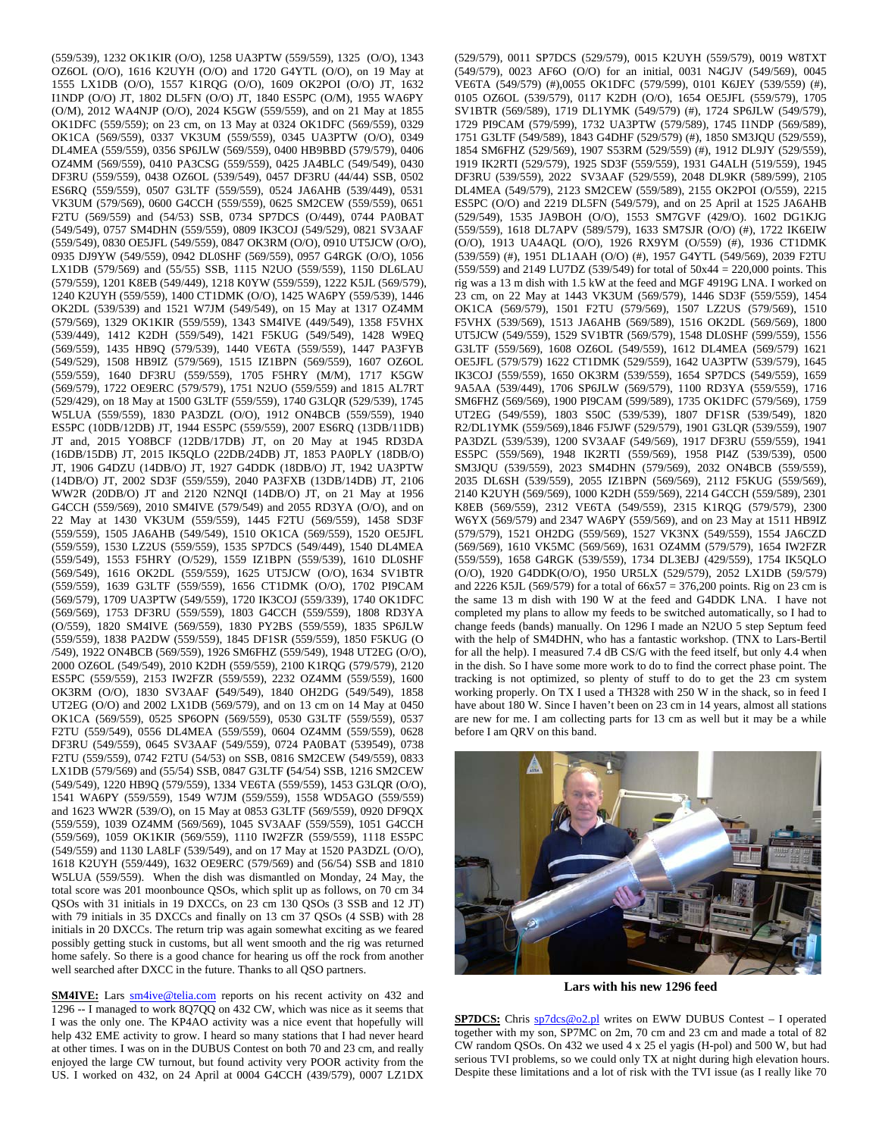(559/539), 1232 OK1KIR (O/O), 1258 UA3PTW (559/559), 1325 (O/O), 1343 OZ6OL (O/O), 1616 K2UYH (O/O) and 1720 G4YTL (O/O), on 19 May at 1555 LX1DB (O/O), 1557 K1RQG (O/O), 1609 OK2POI (O/O) JT, 1632 I1NDP (O/O) JT, 1802 DL5FN (O/O) JT, 1840 ES5PC (O/M), 1955 WA6PY (O/M), 2012 WA4NJP (O/O), 2024 K5GW (559/559), and on 21 May at 1855 OK1DFC (559/559); on 23 cm, on 13 May at 0324 OK1DFC (569/559), 0329 OK1CA (569/559), 0337 VK3UM (559/559), 0345 UA3PTW (O/O), 0349 DL4MEA (559/559), 0356 SP6JLW (569/559), 0400 HB9BBD (579/579), 0406 OZ4MM (569/559), 0410 PA3CSG (559/559), 0425 JA4BLC (549/549), 0430 DF3RU (559/559), 0438 OZ6OL (539/549), 0457 DF3RU (44/44) SSB, 0502 ES6RQ (559/559), 0507 G3LTF (559/559), 0524 JA6AHB (539/449), 0531 VK3UM (579/569), 0600 G4CCH (559/559), 0625 SM2CEW (559/559), 0651 F2TU (569/559) and (54/53) SSB, 0734 SP7DCS (O/449), 0744 PA0BAT (549/549), 0757 SM4DHN (559/559), 0809 IK3COJ (549/529), 0821 SV3AAF (559/549), 0830 OE5JFL (549/559), 0847 OK3RM (O/O), 0910 UT5JCW (O/O), 0935 DJ9YW (549/559), 0942 DL0SHF (569/559), 0957 G4RGK (O/O), 1056 LX1DB (579/569) and (55/55) SSB, 1115 N2UO (559/559), 1150 DL6LAU (579/559), 1201 K8EB (549/449), 1218 K0YW (559/559), 1222 K5JL (569/579), 1240 K2UYH (559/559), 1400 CT1DMK (O/O), 1425 WA6PY (559/539), 1446 OK2DL (539/539) and 1521 W7JM (549/549), on 15 May at 1317 OZ4MM (579/569), 1329 OK1KIR (559/559), 1343 SM4IVE (449/549), 1358 F5VHX (539/449), 1412 K2DH (559/549), 1421 F5KUG (549/549), 1428 W9EQ (569/559), 1435 HB9Q (579/539), 1440 VE6TA (559/559), 1447 PA3FYB (549/529), 1508 HB9IZ (579/569), 1515 IZ1BPN (569/559), 1607 OZ6OL (559/559), 1640 DF3RU (559/559), 1705 F5HRY (M/M), 1717 K5GW (569/579), 1722 OE9ERC (579/579), 1751 N2UO (559/559) and 1815 AL7RT (529/429), on 18 May at 1500 G3LTF (559/559), 1740 G3LQR (529/539), 1745 W5LUA (559/559), 1830 PA3DZL (O/O), 1912 ON4BCB (559/559), 1940 ES5PC (10DB/12DB) JT, 1944 ES5PC (559/559), 2007 ES6RQ (13DB/11DB) JT and, 2015 YO8BCF (12DB/17DB) JT, on 20 May at 1945 RD3DA (16DB/15DB) JT, 2015 IK5QLO (22DB/24DB) JT, 1853 PA0PLY (18DB/O) JT, 1906 G4DZU (14DB/O) JT, 1927 G4DDK (18DB/O) JT, 1942 UA3PTW (14DB/O) JT, 2002 SD3F (559/559), 2040 PA3FXB (13DB/14DB) JT, 2106 WW2R (20DB/O) JT and 2120 N2NQI (14DB/O) JT, on 21 May at 1956 G4CCH (559/569), 2010 SM4IVE (579/549) and 2055 RD3YA (O/O), and on 22 May at 1430 VK3UM (559/559), 1445 F2TU (569/559), 1458 SD3F (559/559), 1505 JA6AHB (549/549), 1510 OK1CA (569/559), 1520 OE5JFL (559/559), 1530 LZ2US (559/559), 1535 SP7DCS (549/449), 1540 DL4MEA (559/549), 1553 F5HRY (O/529), 1559 IZ1BPN (559/539), 1610 DL0SHF (569/549), 1616 OK2DL (559/559), 1625 UT5JCW (O/O), 1634 SV1BTR (559/559), 1639 G3LTF (559/559), 1656 CT1DMK (O/O), 1702 PI9CAM (569/579), 1709 UA3PTW (549/559), 1720 IK3COJ (559/339), 1740 OK1DFC (569/569), 1753 DF3RU (559/559), 1803 G4CCH (559/559), 1808 RD3YA (O/559), 1820 SM4IVE (569/559), 1830 PY2BS (559/559), 1835 SP6JLW (559/559), 1838 PA2DW (559/559), 1845 DF1SR (559/559), 1850 F5KUG (O /549), 1922 ON4BCB (569/559), 1926 SM6FHZ (559/549), 1948 UT2EG (O/O), 2000 OZ6OL (549/549), 2010 K2DH (559/559), 2100 K1RQG (579/579), 2120 ES5PC (559/559), 2153 IW2FZR (559/559), 2232 OZ4MM (559/559), 1600 OK3RM (O/O), 1830 SV3AAF **(**549/549), 1840 OH2DG (549/549), 1858 UT2EG (O/O) and 2002 LX1DB (569/579), and on 13 cm on 14 May at 0450 OK1CA (569/559), 0525 SP6OPN (569/559), 0530 G3LTF (559/559), 0537 F2TU (559/549), 0556 DL4MEA (559/559), 0604 OZ4MM (559/559), 0628 DF3RU (549/559), 0645 SV3AAF (549/559), 0724 PA0BAT (539549), 0738 F2TU (559/559), 0742 F2TU (54/53) on SSB, 0816 SM2CEW (549/559), 0833 LX1DB (579/569) and (55/54) SSB, 0847 G3LTF **(**54/54) SSB, 1216 SM2CEW (549/549), 1220 HB9Q (579/559), 1334 VE6TA (559/559), 1453 G3LQR (O/O), 1541 WA6PY (559/559), 1549 W7JM (559/559), 1558 WD5AGO (559/559) and 1623 WW2R (539/O), on 15 May at 0853 G3LTF (569/559), 0920 DF9QX (559/559), 1039 OZ4MM (569/569), 1045 SV3AAF (559/559), 1051 G4CCH (559/569), 1059 OK1KIR (569/559), 1110 IW2FZR (559/559), 1118 ES5PC (549/559) and 1130 LA8LF (539/549), and on 17 May at 1520 PA3DZL (O/O), 1618 K2UYH (559/449), 1632 OE9ERC (579/569) and (56/54) SSB and 1810 W5LUA (559/559). When the dish was dismantled on Monday, 24 May, the total score was 201 moonbounce QSOs, which split up as follows, on 70 cm 34 QSOs with 31 initials in 19 DXCCs, on 23 cm 130 QSOs (3 SSB and 12 JT) with 79 initials in 35 DXCCs and finally on 13 cm 37 QSOs (4 SSB) with 28 initials in 20 DXCCs. The return trip was again somewhat exciting as we feared possibly getting stuck in customs, but all went smooth and the rig was returned home safely. So there is a good chance for hearing us off the rock from another well searched after DXCC in the future. Thanks to all QSO partners.

**SM4IVE:** Lars **sm4ive@telia.com** reports on his recent activity on 432 and 1296 -- I managed to work 8Q7QQ on 432 CW, which was nice as it seems that I was the only one. The KP4AO activity was a nice event that hopefully will help 432 EME activity to grow. I heard so many stations that I had never heard at other times. I was on in the DUBUS Contest on both 70 and 23 cm, and really enjoyed the large CW turnout, but found activity very POOR activity from the US. I worked on 432, on 24 April at 0004 G4CCH (439/579), 0007 LZ1DX (529/579), 0011 SP7DCS (529/579), 0015 K2UYH (559/579), 0019 W8TXT (549/579), 0023 AF6O (O/O) for an initial, 0031 N4GJV (549/569), 0045 VE6TA (549/579) (#),0055 OK1DFC (579/599), 0101 K6JEY (539/559) (#), 0105 OZ6OL (539/579), 0117 K2DH (O/O), 1654 OE5JFL (559/579), 1705 SV1BTR (569/589), 1719 DL1YMK (549/579) (#), 1724 SP6JLW (549/579), 1729 PI9CAM (579/599), 1732 UA3PTW (579/589), 1745 I1NDP (569/589), 1751 G3LTF (549/589), 1843 G4DHF (529/579) (#), 1850 SM3JQU (529/559), 1854 SM6FHZ (529/569), 1907 S53RM (529/559) (#), 1912 DL9JY (529/559), 1919 IK2RTI (529/579), 1925 SD3F (559/559), 1931 G4ALH (519/559), 1945 DF3RU (539/559), 2022 SV3AAF (529/559), 2048 DL9KR (589/599), 2105 DL4MEA (549/579), 2123 SM2CEW (559/589), 2155 OK2POI (O/559), 2215 ES5PC (O/O) and 2219 DL5FN (549/579), and on 25 April at 1525 JA6AHB (529/549), 1535 JA9BOH (O/O), 1553 SM7GVF (429/O). 1602 DG1KJG (559/559), 1618 DL7APV (589/579), 1633 SM7SJR (O/O) (#), 1722 IK6EIW (O/O), 1913 UA4AQL (O/O), 1926 RX9YM (O/559) (#), 1936 CT1DMK (539/559) (#), 1951 DL1AAH (O/O) (#), 1957 G4YTL (549/569), 2039 F2TU (559/559) and 2149 LU7DZ (539/549) for total of 50x44 = 220,000 points. This rig was a 13 m dish with 1.5 kW at the feed and MGF 4919G LNA. I worked on 23 cm, on 22 May at 1443 VK3UM (569/579), 1446 SD3F (559/559), 1454 OK1CA (569/579), 1501 F2TU (579/569), 1507 LZ2US (579/569), 1510 F5VHX (539/569), 1513 JA6AHB (569/589), 1516 OK2DL (569/569), 1800 UT5JCW (549/559), 1529 SV1BTR (569/579), 1548 DL0SHF (599/559), 1556 G3LTF (559/569), 1608 OZ6OL (549/559), 1612 DL4MEA (569/579) 1621 OE5JFL (579/579) 1622 CT1DMK (529/559), 1642 UA3PTW (539/579), 1645 IK3COJ (559/559), 1650 OK3RM (539/559), 1654 SP7DCS (549/559), 1659 9A5AA (539/449), 1706 SP6JLW (569/579), 1100 RD3YA (559/559), 1716 SM6FHZ (569/569), 1900 PI9CAM (599/589), 1735 OK1DFC (579/569), 1759 UT2EG (549/559), 1803 S50C (539/539), 1807 DF1SR (539/549), 1820 R2/DL1YMK (559/569),1846 F5JWF (529/579), 1901 G3LQR (539/559), 1907 PA3DZL (539/539), 1200 SV3AAF (549/569), 1917 DF3RU (559/559), 1941 ES5PC (559/569), 1948 IK2RTI (559/569), 1958 PI4Z (539/539), 0500 SM3JQU (539/559), 2023 SM4DHN (579/569), 2032 ON4BCB (559/559), 2035 DL6SH (539/559), 2055 IZ1BPN (569/569), 2112 F5KUG (559/569), 2140 K2UYH (569/569), 1000 K2DH (559/569), 2214 G4CCH (559/589), 2301 K8EB (569/559), 2312 VE6TA (549/559), 2315 K1RQG (579/579), 2300 W6YX (569/579) and 2347 WA6PY (559/569), and on 23 May at 1511 HB9IZ (579/579), 1521 OH2DG (559/569), 1527 VK3NX (549/559), 1554 JA6CZD (569/569), 1610 VK5MC (569/569), 1631 OZ4MM (579/579), 1654 IW2FZR (559/559), 1658 G4RGK (539/559), 1734 DL3EBJ (429/559), 1754 IK5QLO (O/O), 1920 G4DDK(O/O), 1950 UR5LX (529/579), 2052 LX1DB (59/579) and 2226 K5JL (569/579) for a total of  $66x57 = 376,200$  points. Rig on 23 cm is the same 13 m dish with 190 W at the feed and G4DDK LNA. I have not completed my plans to allow my feeds to be switched automatically, so I had to change feeds (bands) manually. On 1296 I made an N2UO 5 step Septum feed with the help of SM4DHN, who has a fantastic workshop. (TNX to Lars-Bertil for all the help). I measured 7.4 dB CS/G with the feed itself, but only 4.4 when in the dish. So I have some more work to do to find the correct phase point. The tracking is not optimized, so plenty of stuff to do to get the 23 cm system working properly. On TX I used a TH328 with 250 W in the shack, so in feed I have about 180 W. Since I haven't been on 23 cm in 14 years, almost all stations are new for me. I am collecting parts for 13 cm as well but it may be a while before I am QRV on this band.



**Lars with his new 1296 feed** 

**SP7DCS:** Chris  $\frac{sp7dcs@o2.pl}{sp7dcs@o2.pl}$  writes on EWW DUBUS Contest – I operated together with my son, SP7MC on 2m, 70 cm and 23 cm and made a total of 82 CW random QSOs. On 432 we used 4 x 25 el yagis (H-pol) and 500 W, but had serious TVI problems, so we could only TX at night during high elevation hours. Despite these limitations and a lot of risk with the TVI issue (as I really like 70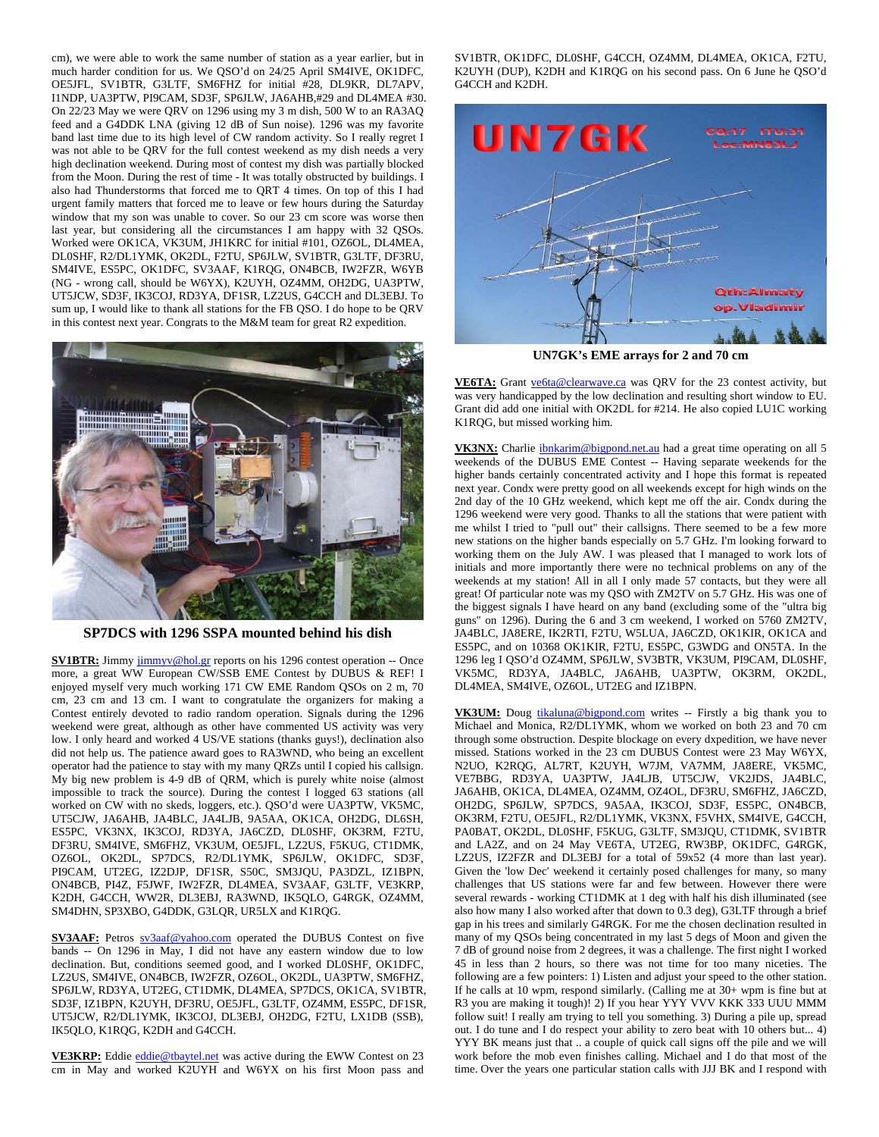cm), we were able to work the same number of station as a year earlier, but in much harder condition for us. We QSO'd on 24/25 April SM4IVE, OK1DFC, OE5JFL, SV1BTR, G3LTF, SM6FHZ for initial #28, DL9KR, DL7APV, I1NDP, UA3PTW, PI9CAM, SD3F, SP6JLW, JA6AHB,#29 and DL4MEA #30. On 22/23 May we were QRV on 1296 using my 3 m dish, 500 W to an RA3AQ feed and a G4DDK LNA (giving 12 dB of Sun noise). 1296 was my favorite band last time due to its high level of CW random activity. So I really regret I was not able to be QRV for the full contest weekend as my dish needs a very high declination weekend. During most of contest my dish was partially blocked from the Moon. During the rest of time - It was totally obstructed by buildings. I also had Thunderstorms that forced me to QRT 4 times. On top of this I had urgent family matters that forced me to leave or few hours during the Saturday window that my son was unable to cover. So our 23 cm score was worse then last year, but considering all the circumstances I am happy with 32 QSOs. Worked were OK1CA, VK3UM, JH1KRC for initial #101, OZ6OL, DL4MEA, DL0SHF, R2/DL1YMK, OK2DL, F2TU, SP6JLW, SV1BTR, G3LTF, DF3RU, SM4IVE, ES5PC, OK1DFC, SV3AAF, K1RQG, ON4BCB, IW2FZR, W6YB (NG - wrong call, should be W6YX), K2UYH, OZ4MM, OH2DG, UA3PTW, UT5JCW, SD3F, IK3COJ, RD3YA, DF1SR, LZ2US, G4CCH and DL3EBJ. To sum up, I would like to thank all stations for the FB QSO. I do hope to be QRV in this contest next year. Congrats to the M&M team for great R2 expedition.



**SP7DCS with 1296 SSPA mounted behind his dish** 

**SV1BTR:** Jimmy jimmyv@hol.gr reports on his 1296 contest operation -- Once more, a great WW European CW/SSB EME Contest by DUBUS & REF! I enjoyed myself very much working 171 CW EME Random QSOs on 2 m, 70 cm, 23 cm and 13 cm. I want to congratulate the organizers for making a Contest entirely devoted to radio random operation. Signals during the 1296 weekend were great, although as other have commented US activity was very low. I only heard and worked 4 US/VE stations (thanks guys!), declination also did not help us. The patience award goes to RA3WND, who being an excellent operator had the patience to stay with my many QRZs until I copied his callsign. My big new problem is 4-9 dB of QRM, which is purely white noise (almost impossible to track the source). During the contest I logged 63 stations (all worked on CW with no skeds, loggers, etc.). QSO'd were UA3PTW, VK5MC, UT5CJW, JA6AHB, JA4BLC, JA4LJB, 9A5AA, OK1CA, OH2DG, DL6SH, ES5PC, VK3NX, IK3COJ, RD3YA, JA6CZD, DL0SHF, OK3RM, F2TU, DF3RU, SM4IVE, SM6FHZ, VK3UM, OE5JFL, LZ2US, F5KUG, CT1DMK, OZ6OL, OK2DL, SP7DCS, R2/DL1YMK, SP6JLW, OK1DFC, SD3F, PI9CAM, UT2EG, IZ2DJP, DF1SR, S50C, SM3JQU, PA3DZL, IZ1BPN, ON4BCB, PI4Z, F5JWF, IW2FZR, DL4MEA, SV3AAF, G3LTF, VE3KRP, K2DH, G4CCH, WW2R, DL3EBJ, RA3WND, IK5QLO, G4RGK, OZ4MM, SM4DHN, SP3XBO, G4DDK, G3LQR, UR5LX and K1RQG.

**SV3AAF:** Petros sv3aaf@yahoo.com operated the DUBUS Contest on five bands -- On 1296 in May, I did not have any eastern window due to low declination. But, conditions seemed good, and I worked DL0SHF, OK1DFC, LZ2US, SM4IVE, ON4BCB, IW2FZR, OZ6OL, OK2DL, UA3PTW, SM6FHZ, SP6JLW, RD3YA, UT2EG, CT1DMK, DL4MEA, SP7DCS, OK1CA, SV1BTR, SD3F, IZ1BPN, K2UYH, DF3RU, OE5JFL, G3LTF, OZ4MM, ES5PC, DF1SR, UT5JCW, R2/DL1YMK, IK3COJ, DL3EBJ, OH2DG, F2TU, LX1DB (SSB), IK5QLO, K1RQG, K2DH and G4CCH.

VE3KRP: Eddie eddie@tbaytel.net was active during the EWW Contest on 23 cm in May and worked K2UYH and W6YX on his first Moon pass and SV1BTR, OK1DFC, DL0SHF, G4CCH, OZ4MM, DL4MEA, OK1CA, F2TU, K2UYH (DUP), K2DH and K1RQG on his second pass. On 6 June he QSO'd G4CCH and K2DH.



**UN7GK's EME arrays for 2 and 70 cm** 

**VE6TA:** Grant ve6ta@clearwave.ca was QRV for the 23 contest activity, but was very handicapped by the low declination and resulting short window to EU. Grant did add one initial with OK2DL for #214. He also copied LU1C working K1RQG, but missed working him.

VK3NX: Charlie ibnkarim@bigpond.net.au had a great time operating on all 5 weekends of the DUBUS EME Contest -- Having separate weekends for the higher bands certainly concentrated activity and I hope this format is repeated next year. Condx were pretty good on all weekends except for high winds on the 2nd day of the 10 GHz weekend, which kept me off the air. Condx during the 1296 weekend were very good. Thanks to all the stations that were patient with me whilst I tried to "pull out" their callsigns. There seemed to be a few more new stations on the higher bands especially on 5.7 GHz. I'm looking forward to working them on the July AW. I was pleased that I managed to work lots of initials and more importantly there were no technical problems on any of the weekends at my station! All in all I only made 57 contacts, but they were all great! Of particular note was my QSO with ZM2TV on 5.7 GHz. His was one of the biggest signals I have heard on any band (excluding some of the "ultra big guns" on 1296). During the 6 and 3 cm weekend, I worked on 5760 ZM2TV, JA4BLC, JA8ERE, IK2RTI, F2TU, W5LUA, JA6CZD, OK1KIR, OK1CA and ES5PC, and on 10368 OK1KIR, F2TU, ES5PC, G3WDG and ON5TA. In the 1296 leg I QSO'd OZ4MM, SP6JLW, SV3BTR, VK3UM, PI9CAM, DL0SHF, VK5MC, RD3YA, JA4BLC, JA6AHB, UA3PTW, OK3RM, OK2DL, DL4MEA, SM4IVE, OZ6OL, UT2EG and IZ1BPN.

**VK3UM:** Doug tikaluna@bigpond.com writes -- Firstly a big thank you to Michael and Monica, R2/DL1YMK, whom we worked on both 23 and 70 cm through some obstruction. Despite blockage on every dxpedition, we have never missed. Stations worked in the 23 cm DUBUS Contest were 23 May W6YX, N2UO, K2RQG, AL7RT, K2UYH, W7JM, VA7MM, JA8ERE, VK5MC, VE7BBG, RD3YA, UA3PTW, JA4LJB, UT5CJW, VK2JDS, JA4BLC, JA6AHB, OK1CA, DL4MEA, OZ4MM, OZ4OL, DF3RU, SM6FHZ, JA6CZD, OH2DG, SP6JLW, SP7DCS, 9A5AA, IK3COJ, SD3F, ES5PC, ON4BCB, OK3RM, F2TU, OE5JFL, R2/DL1YMK, VK3NX, F5VHX, SM4IVE, G4CCH, PA0BAT, OK2DL, DL0SHF, F5KUG, G3LTF, SM3JQU, CT1DMK, SV1BTR and LA2Z, and on 24 May VE6TA, UT2EG, RW3BP, OK1DFC, G4RGK, LZ2US, IZ2FZR and DL3EBJ for a total of 59x52 (4 more than last year). Given the 'low Dec' weekend it certainly posed challenges for many, so many challenges that US stations were far and few between. However there were several rewards - working CT1DMK at 1 deg with half his dish illuminated (see also how many I also worked after that down to 0.3 deg), G3LTF through a brief gap in his trees and similarly G4RGK. For me the chosen declination resulted in many of my QSOs being concentrated in my last 5 degs of Moon and given the 7 dB of ground noise from 2 degrees, it was a challenge. The first night I worked 45 in less than 2 hours, so there was not time for too many niceties. The following are a few pointers: 1) Listen and adjust your speed to the other station. If he calls at 10 wpm, respond similarly. (Calling me at 30+ wpm is fine but at R3 you are making it tough)! 2) If you hear YYY VVV KKK 333 UUU MMM follow suit! I really am trying to tell you something. 3) During a pile up, spread out. I do tune and I do respect your ability to zero beat with 10 others but... 4) YYY BK means just that .. a couple of quick call signs off the pile and we will work before the mob even finishes calling. Michael and I do that most of the time. Over the years one particular station calls with JJJ BK and I respond with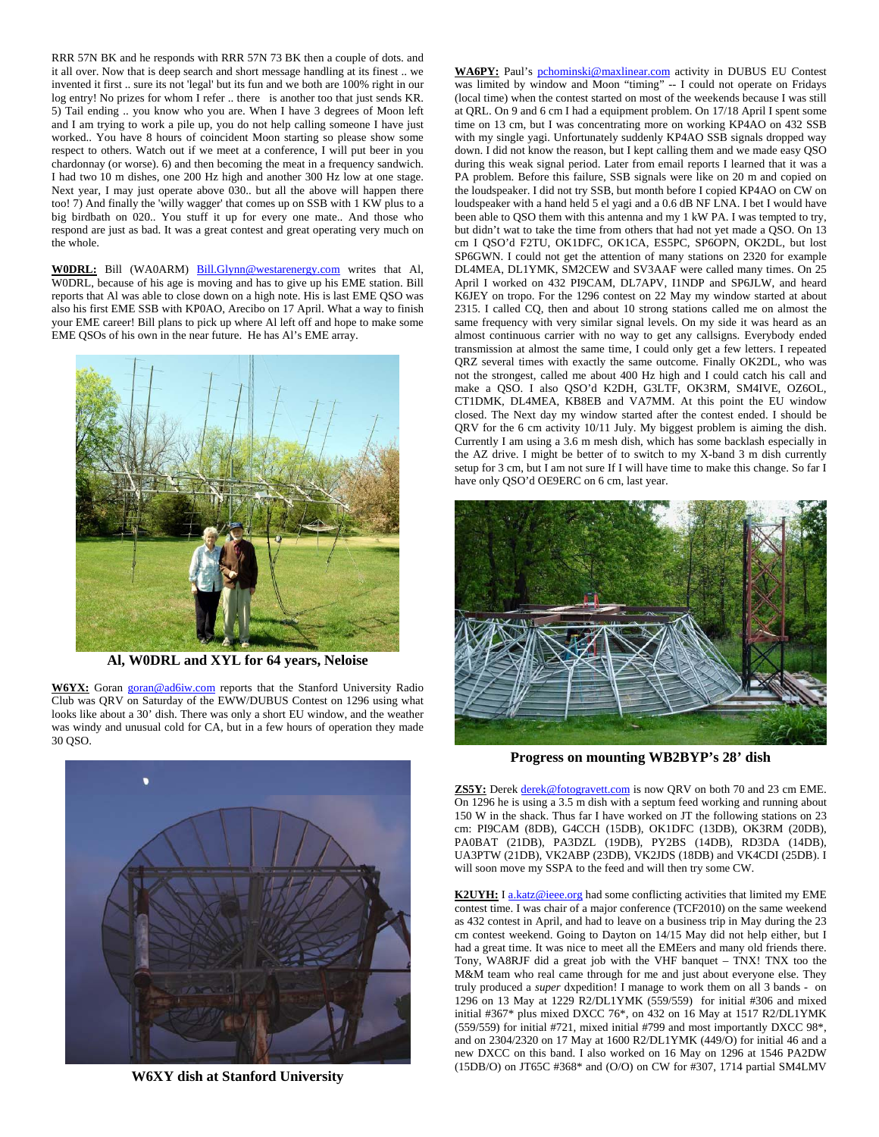RRR 57N BK and he responds with RRR 57N 73 BK then a couple of dots. and it all over. Now that is deep search and short message handling at its finest .. we invented it first .. sure its not 'legal' but its fun and we both are 100% right in our log entry! No prizes for whom I refer .. there is another too that just sends KR. 5) Tail ending .. you know who you are. When I have 3 degrees of Moon left and I am trying to work a pile up, you do not help calling someone I have just worked.. You have 8 hours of coincident Moon starting so please show some respect to others. Watch out if we meet at a conference, I will put beer in you chardonnay (or worse). 6) and then becoming the meat in a frequency sandwich. I had two 10 m dishes, one 200 Hz high and another 300 Hz low at one stage. Next year, I may just operate above 030.. but all the above will happen there too! 7) And finally the 'willy wagger' that comes up on SSB with 1 KW plus to a big birdbath on 020.. You stuff it up for every one mate.. And those who respond are just as bad. It was a great contest and great operating very much on the whole.

**W0DRL:** Bill (WA0ARM) Bill.Glynn@westarenergy.com writes that Al, W0DRL, because of his age is moving and has to give up his EME station. Bill reports that Al was able to close down on a high note. His is last EME QSO was also his first EME SSB with KP0AO, Arecibo on 17 April. What a way to finish your EME career! Bill plans to pick up where Al left off and hope to make some EME QSOs of his own in the near future. He has Al's EME array.



**Al, W0DRL and XYL for 64 years, Neloise** 

W6YX: Goran goran@ad6iw.com reports that the Stanford University Radio Club was QRV on Saturday of the EWW/DUBUS Contest on 1296 using what looks like about a 30' dish. There was only a short EU window, and the weather was windy and unusual cold for CA, but in a few hours of operation they made 30 QSO.



**W6XY dish at Stanford University** 

WA6PY: Paul's pchominski@maxlinear.com activity in DUBUS EU Contest was limited by window and Moon "timing" -- I could not operate on Fridays (local time) when the contest started on most of the weekends because I was still at QRL. On 9 and 6 cm I had a equipment problem. On 17/18 April I spent some time on 13 cm, but I was concentrating more on working KP4AO on 432 SSB with my single yagi. Unfortunately suddenly KP4AO SSB signals dropped way down. I did not know the reason, but I kept calling them and we made easy QSO during this weak signal period. Later from email reports I learned that it was a PA problem. Before this failure, SSB signals were like on 20 m and copied on the loudspeaker. I did not try SSB, but month before I copied KP4AO on CW on loudspeaker with a hand held 5 el yagi and a 0.6 dB NF LNA. I bet I would have been able to QSO them with this antenna and my 1 kW PA. I was tempted to try, but didn't wat to take the time from others that had not yet made a QSO. On 13 cm I QSO'd F2TU, OK1DFC, OK1CA, ES5PC, SP6OPN, OK2DL, but lost SP6GWN. I could not get the attention of many stations on 2320 for example DL4MEA, DL1YMK, SM2CEW and SV3AAF were called many times. On 25 April I worked on 432 PI9CAM, DL7APV, I1NDP and SP6JLW, and heard K6JEY on tropo. For the 1296 contest on 22 May my window started at about 2315. I called CQ, then and about 10 strong stations called me on almost the same frequency with very similar signal levels. On my side it was heard as an almost continuous carrier with no way to get any callsigns. Everybody ended transmission at almost the same time, I could only get a few letters. I repeated QRZ several times with exactly the same outcome. Finally OK2DL, who was not the strongest, called me about 400 Hz high and I could catch his call and make a QSO. I also QSO'd K2DH, G3LTF, OK3RM, SM4IVE, OZ6OL, CT1DMK, DL4MEA, KB8EB and VA7MM. At this point the EU window closed. The Next day my window started after the contest ended. I should be QRV for the 6 cm activity 10/11 July. My biggest problem is aiming the dish. Currently I am using a 3.6 m mesh dish, which has some backlash especially in the AZ drive. I might be better of to switch to my X-band 3 m dish currently setup for 3 cm, but I am not sure If I will have time to make this change. So far I have only QSO'd OE9ERC on 6 cm, last year.



**Progress on mounting WB2BYP's 28' dish** 

**ZS5Y:** Derek derek@fotogravett.com is now QRV on both 70 and 23 cm EME. On 1296 he is using a 3.5 m dish with a septum feed working and running about 150 W in the shack. Thus far I have worked on JT the following stations on 23 cm: PI9CAM (8DB), G4CCH (15DB), OK1DFC (13DB), OK3RM (20DB), PA0BAT (21DB), PA3DZL (19DB), PY2BS (14DB), RD3DA (14DB), UA3PTW (21DB), VK2ABP (23DB), VK2JDS (18DB) and VK4CDI (25DB). I will soon move my SSPA to the feed and will then try some CW.

**K2UYH:** I a.katz@ieee.org had some conflicting activities that limited my EME contest time. I was chair of a major conference (TCF2010) on the same weekend as 432 contest in April, and had to leave on a business trip in May during the 23 cm contest weekend. Going to Dayton on 14/15 May did not help either, but I had a great time. It was nice to meet all the EMEers and many old friends there. Tony, WA8RJF did a great job with the VHF banquet – TNX! TNX too the M&M team who real came through for me and just about everyone else. They truly produced a *super* dxpedition! I manage to work them on all 3 bands - on 1296 on 13 May at 1229 R2/DL1YMK (559/559) for initial #306 and mixed initial #367\* plus mixed DXCC 76\*, on 432 on 16 May at 1517 R2/DL1YMK (559/559) for initial #721, mixed initial #799 and most importantly DXCC 98\*, and on 2304/2320 on 17 May at 1600 R2/DL1YMK (449/O) for initial 46 and a new DXCC on this band. I also worked on 16 May on 1296 at 1546 PA2DW (15DB/O) on JT65C #368\* and (O/O) on CW for #307, 1714 partial SM4LMV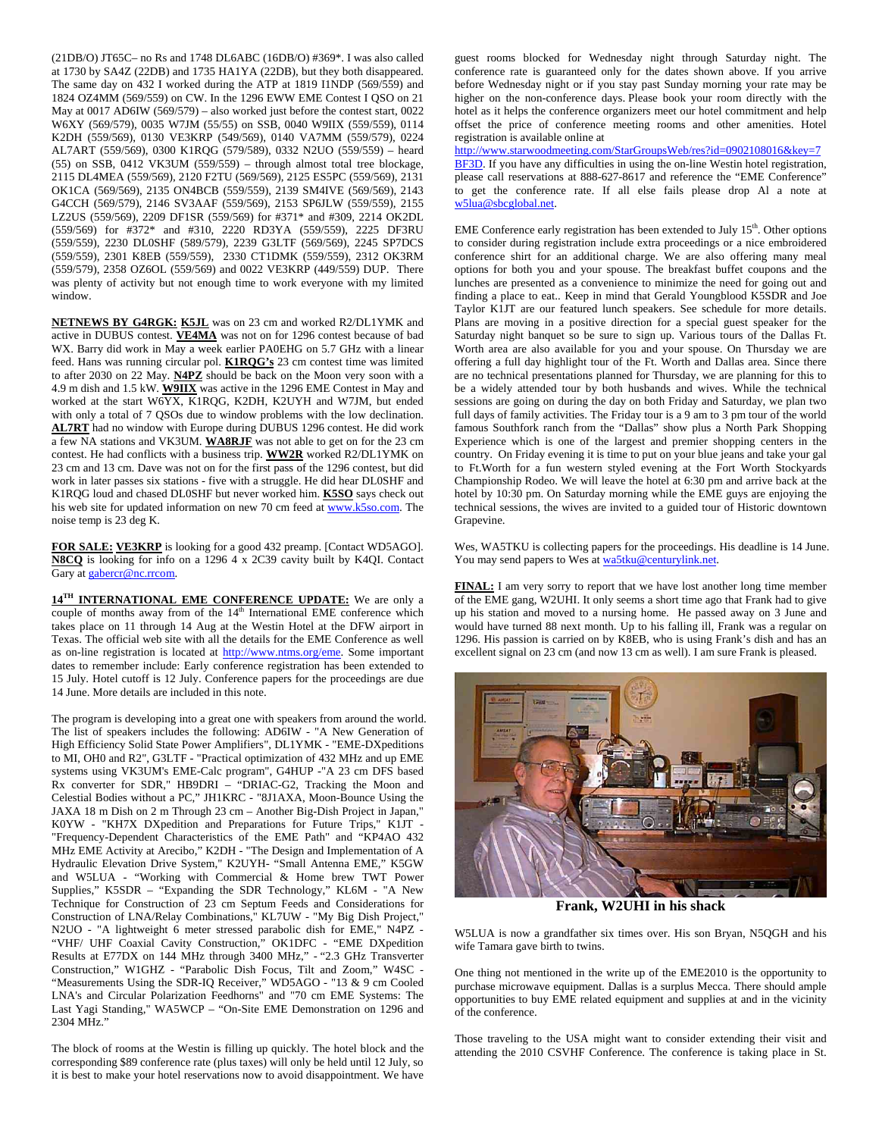(21DB/O) JT65C– no Rs and 1748 DL6ABC (16DB/O) #369\*. I was also called at 1730 by SA4Z (22DB) and 1735 HA1YA (22DB), but they both disappeared. The same day on 432 I worked during the ATP at 1819 I1NDP (569/559) and 1824 OZ4MM (569/559) on CW. In the 1296 EWW EME Contest I QSO on 21 May at 0017 AD6IW (569/579) – also worked just before the contest start, 0022 W6XY (569/579), 0035 W7JM (55/55) on SSB, 0040 W9IIX (559/559), 0114 K2DH (559/569), 0130 VE3KRP (549/569), 0140 VA7MM (559/579), 0224 AL7ART (559/569), 0300 K1RQG (579/589), 0332 N2UO (559/559) – heard (55) on SSB, 0412 VK3UM (559/559) – through almost total tree blockage, 2115 DL4MEA (559/569), 2120 F2TU (569/569), 2125 ES5PC (559/569), 2131 OK1CA (569/569), 2135 ON4BCB (559/559), 2139 SM4IVE (569/569), 2143 G4CCH (569/579), 2146 SV3AAF (559/569), 2153 SP6JLW (559/559), 2155 LZ2US (559/569), 2209 DF1SR (559/569) for #371\* and #309, 2214 OK2DL (559/569) for #372\* and #310, 2220 RD3YA (559/559), 2225 DF3RU (559/559), 2230 DL0SHF (589/579), 2239 G3LTF (569/569), 2245 SP7DCS (559/559), 2301 K8EB (559/559), 2330 CT1DMK (559/559), 2312 OK3RM (559/579), 2358 OZ6OL (559/569) and 0022 VE3KRP (449/559) DUP. There was plenty of activity but not enough time to work everyone with my limited window.

**NETNEWS BY G4RGK: K5JL** was on 23 cm and worked R2/DL1YMK and active in DUBUS contest. **VE4MA** was not on for 1296 contest because of bad WX. Barry did work in May a week earlier PA0EHG on 5.7 GHz with a linear feed. Hans was running circular pol. **K1RQG's** 23 cm contest time was limited to after 2030 on 22 May. **N4PZ** should be back on the Moon very soon with a 4.9 m dish and 1.5 kW. **W9IIX** was active in the 1296 EME Contest in May and worked at the start W6YX, K1RQG, K2DH, K2UYH and W7JM, but ended with only a total of 7 QSOs due to window problems with the low declination. **AL7RT** had no window with Europe during DUBUS 1296 contest. He did work a few NA stations and VK3UM. **WA8RJF** was not able to get on for the 23 cm contest. He had conflicts with a business trip. **WW2R** worked R2/DL1YMK on 23 cm and 13 cm. Dave was not on for the first pass of the 1296 contest, but did work in later passes six stations - five with a struggle. He did hear DL0SHF and K1RQG loud and chased DL0SHF but never worked him. **K5SO** says check out his web site for updated information on new 70 cm feed at www.k5so.com. The noise temp is 23 deg K.

**FOR SALE: VE3KRP** is looking for a good 432 preamp. [Contact WD5AGO]. **N8CQ** is looking for info on a 1296 4 x 2C39 cavity built by K4QI. Contact Gary at gabercr@nc.rrcom.

**14<sup>TH</sup> INTERNATIONAL EME CONFERENCE UPDATE:** We are only a couple of months away from of the  $14<sup>th</sup>$  International EME conference which takes place on 11 through 14 Aug at the Westin Hotel at the DFW airport in Texas. The official web site with all the details for the EME Conference as well as on-line registration is located at http://www.ntms.org/eme. Some important dates to remember include: Early conference registration has been extended to 15 July. Hotel cutoff is 12 July. Conference papers for the proceedings are due 14 June. More details are included in this note.

The program is developing into a great one with speakers from around the world. The list of speakers includes the following: AD6IW - "A New Generation of High Efficiency Solid State Power Amplifiers", DL1YMK - "EME-DXpeditions to MI, OH0 and R2", G3LTF - "Practical optimization of 432 MHz and up EME systems using VK3UM's EME-Calc program", G4HUP -"A 23 cm DFS based Rx converter for SDR," HB9DRI – "DRIAC-G2, Tracking the Moon and Celestial Bodies without a PC," JH1KRC - "8J1AXA, Moon-Bounce Using the JAXA 18 m Dish on 2 m Through 23 cm – Another Big-Dish Project in Japan," K0YW - "KH7X DXpedition and Preparations for Future Trips," K1JT - "Frequency-Dependent Characteristics of the EME Path" and "KP4AO 432 MHz EME Activity at Arecibo," K2DH - "The Design and Implementation of A Hydraulic Elevation Drive System," K2UYH- "Small Antenna EME," K5GW and W5LUA - "Working with Commercial & Home brew TWT Power Supplies," K5SDR – "Expanding the SDR Technology," KL6M - "A New Technique for Construction of 23 cm Septum Feeds and Considerations for Construction of LNA/Relay Combinations," KL7UW - "My Big Dish Project," N2UO - "A lightweight 6 meter stressed parabolic dish for EME," N4PZ - "VHF/ UHF Coaxial Cavity Construction," OK1DFC - "EME DXpedition Results at E77DX on 144 MHz through 3400 MHz," - "2.3 GHz Transverter Construction," W1GHZ - "Parabolic Dish Focus, Tilt and Zoom," W4SC - "Measurements Using the SDR-IQ Receiver," WD5AGO - "13 & 9 cm Cooled LNA's and Circular Polarization Feedhorns" and "70 cm EME Systems: The Last Yagi Standing," WA5WCP – "On-Site EME Demonstration on 1296 and 2304 MHz."

The block of rooms at the Westin is filling up quickly. The hotel block and the corresponding \$89 conference rate (plus taxes) will only be held until 12 July, so it is best to make your hotel reservations now to avoid disappointment. We have guest rooms blocked for Wednesday night through Saturday night. The conference rate is guaranteed only for the dates shown above. If you arrive before Wednesday night or if you stay past Sunday morning your rate may be higher on the non-conference days. Please book your room directly with the hotel as it helps the conference organizers meet our hotel commitment and help offset the price of conference meeting rooms and other amenities. Hotel registration is available online at

http://www.starwoodmeeting.com/StarGroupsWeb/res?id=0902108016&key=7 BF3D. If you have any difficulties in using the on-line Westin hotel registration, please call reservations at 888-627-8617 and reference the "EME Conference" to get the conference rate. If all else fails please drop Al a note at w5lua@sbcglobal.net.

EME Conference early registration has been extended to July  $15<sup>th</sup>$ . Other options to consider during registration include extra proceedings or a nice embroidered conference shirt for an additional charge. We are also offering many meal options for both you and your spouse. The breakfast buffet coupons and the lunches are presented as a convenience to minimize the need for going out and finding a place to eat.. Keep in mind that Gerald Youngblood K5SDR and Joe Taylor K1JT are our featured lunch speakers. See schedule for more details. Plans are moving in a positive direction for a special guest speaker for the Saturday night banquet so be sure to sign up. Various tours of the Dallas Ft. Worth area are also available for you and your spouse. On Thursday we are offering a full day highlight tour of the Ft. Worth and Dallas area. Since there are no technical presentations planned for Thursday, we are planning for this to be a widely attended tour by both husbands and wives. While the technical sessions are going on during the day on both Friday and Saturday, we plan two full days of family activities. The Friday tour is a 9 am to 3 pm tour of the world famous Southfork ranch from the "Dallas" show plus a North Park Shopping Experience which is one of the largest and premier shopping centers in the country. On Friday evening it is time to put on your blue jeans and take your gal to Ft.Worth for a fun western styled evening at the Fort Worth Stockyards Championship Rodeo. We will leave the hotel at 6:30 pm and arrive back at the hotel by 10:30 pm. On Saturday morning while the EME guys are enjoying the technical sessions, the wives are invited to a guided tour of Historic downtown Grapevine.

Wes, WA5TKU is collecting papers for the proceedings. His deadline is 14 June. You may send papers to Wes at wa5tku@centurylink.net.

**FINAL:** I am very sorry to report that we have lost another long time member of the EME gang, W2UHI. It only seems a short time ago that Frank had to give up his station and moved to a nursing home. He passed away on 3 June and would have turned 88 next month. Up to his falling ill, Frank was a regular on 1296. His passion is carried on by K8EB, who is using Frank's dish and has an excellent signal on 23 cm (and now 13 cm as well). I am sure Frank is pleased.



**Frank, W2UHI in his shack** 

W5LUA is now a grandfather six times over. His son Bryan, N5QGH and his wife Tamara gave birth to twins.

One thing not mentioned in the write up of the EME2010 is the opportunity to purchase microwave equipment. Dallas is a surplus Mecca. There should ample opportunities to buy EME related equipment and supplies at and in the vicinity of the conference.

Those traveling to the USA might want to consider extending their visit and attending the 2010 CSVHF Conference. The conference is taking place in St.